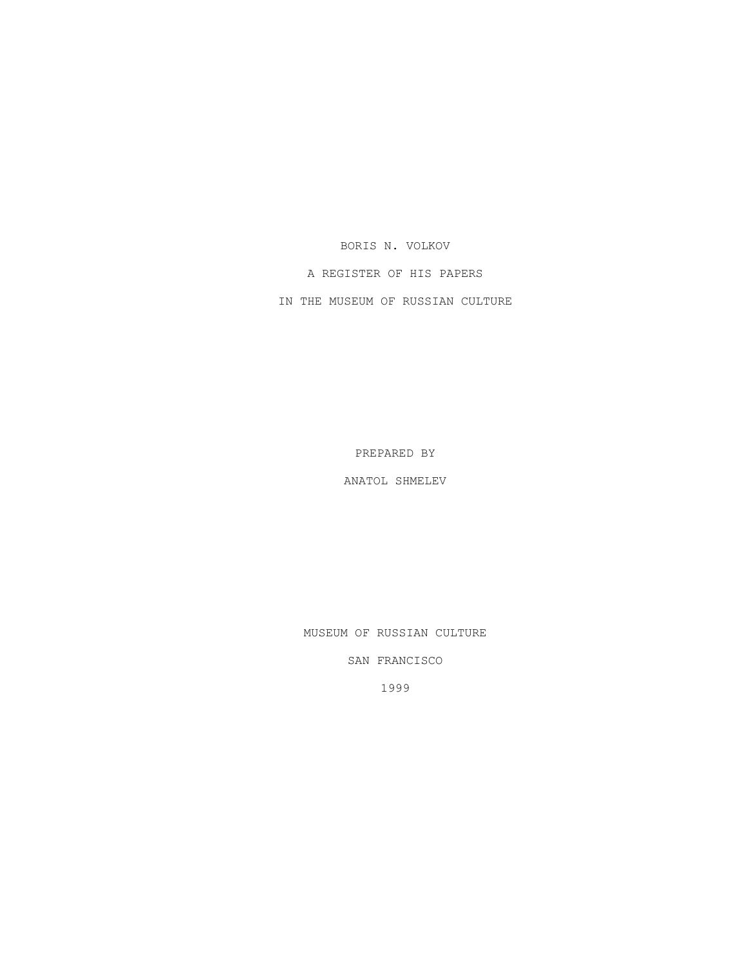BORIS N. VOLKOV

A REGISTER OF HIS PAPERS

IN THE MUSEUM OF RUSSIAN CULTURE

PREPARED BY

ANATOL SHMELEV

MUSEUM OF RUSSIAN CULTURE

SAN FRANCISCO

1999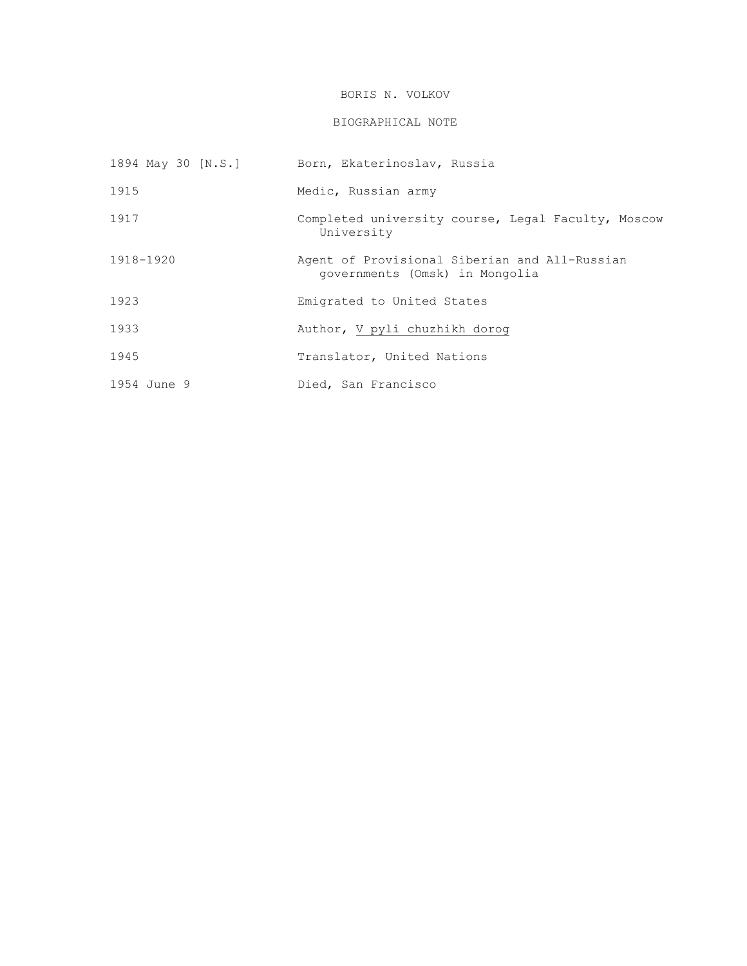# BORIS N. VOLKOV

# BIOGRAPHICAL NOTE

| 1894 May 30 [N.S.] | Born, Ekaterinoslav, Russia                                                     |
|--------------------|---------------------------------------------------------------------------------|
| 1915               | Medic, Russian army                                                             |
| 1917               | Completed university course, Legal Faculty, Moscow<br>University                |
| 1918-1920          | Agent of Provisional Siberian and All-Russian<br>governments (Omsk) in Mongolia |
| 1923               | Emigrated to United States                                                      |
| 1933               | Author, V pyli chuzhikh dorog                                                   |
| 1945               | Translator, United Nations                                                      |
| 1954 June 9        | Died, San Francisco                                                             |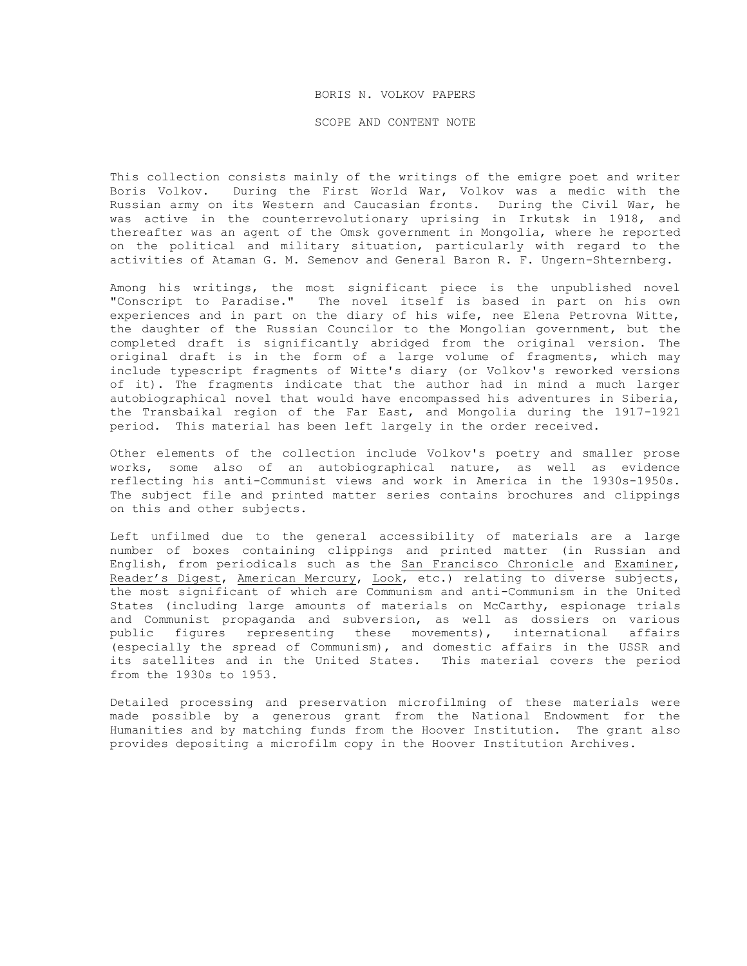#### BORIS N. VOLKOV PAPERS

SCOPE AND CONTENT NOTE

This collection consists mainly of the writings of the emigre poet and writer Boris Volkov. During the First World War, Volkov was a medic with the Russian army on its Western and Caucasian fronts. During the Civil War, he was active in the counterrevolutionary uprising in Irkutsk in 1918, and thereafter was an agent of the Omsk government in Mongolia, where he reported on the political and military situation, particularly with regard to the activities of Ataman G. M. Semenov and General Baron R. F. Ungern-Shternberg.

Among his writings, the most significant piece is the unpublished novel "Conscript to Paradise." The novel itself is based in part on his own experiences and in part on the diary of his wife, nee Elena Petrovna Witte, the daughter of the Russian Councilor to the Mongolian government, but the completed draft is significantly abridged from the original version. The original draft is in the form of a large volume of fragments, which may include typescript fragments of Witte's diary (or Volkov's reworked versions of it). The fragments indicate that the author had in mind a much larger autobiographical novel that would have encompassed his adventures in Siberia, the Transbaikal region of the Far East, and Mongolia during the 1917-1921 period. This material has been left largely in the order received.

Other elements of the collection include Volkov's poetry and smaller prose works, some also of an autobiographical nature, as well as evidence reflecting his anti-Communist views and work in America in the 1930s-1950s. The subject file and printed matter series contains brochures and clippings on this and other subjects.

Left unfilmed due to the general accessibility of materials are a large number of boxes containing clippings and printed matter (in Russian and English, from periodicals such as the San Francisco Chronicle and Examiner, Reader's Digest, American Mercury, Look, etc.) relating to diverse subjects, the most significant of which are Communism and anti-Communism in the United States (including large amounts of materials on McCarthy, espionage trials and Communist propaganda and subversion, as well as dossiers on various public figures representing these movements), international affairs (especially the spread of Communism), and domestic affairs in the USSR and its satellites and in the United States. This material covers the period from the 1930s to 1953.

Detailed processing and preservation microfilming of these materials were made possible by a generous grant from the National Endowment for the Humanities and by matching funds from the Hoover Institution. The grant also provides depositing a microfilm copy in the Hoover Institution Archives.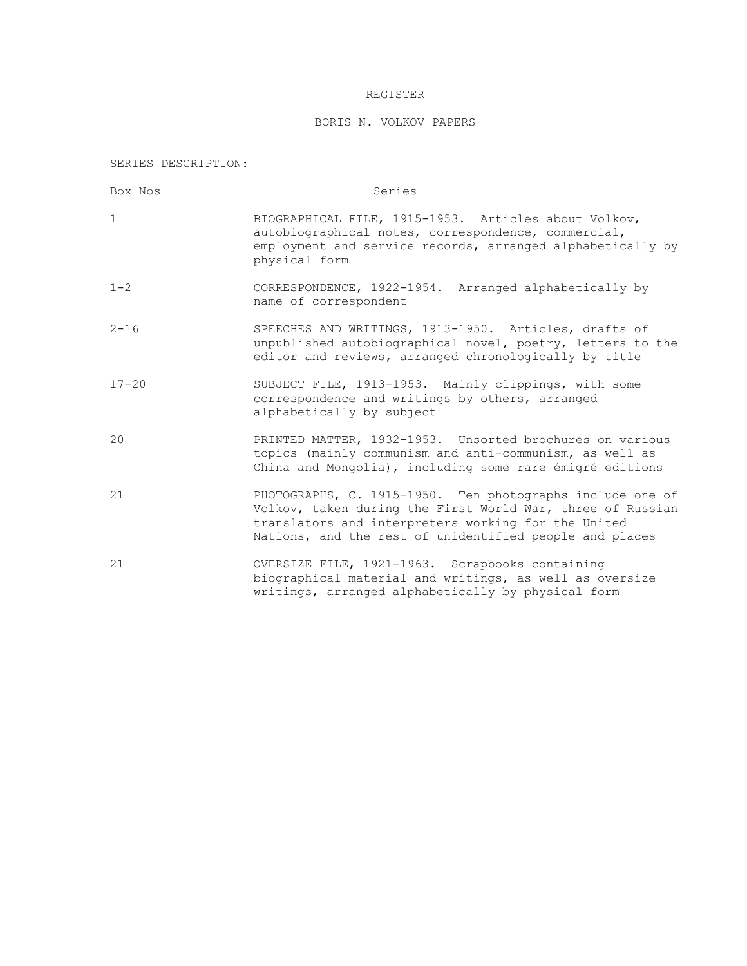### REGISTER

# BORIS N. VOLKOV PAPERS

SERIES DESCRIPTION:

| Box Nos     | Series                                                                                                                                                                                                                                    |
|-------------|-------------------------------------------------------------------------------------------------------------------------------------------------------------------------------------------------------------------------------------------|
| $\mathbf 1$ | BIOGRAPHICAL FILE, 1915-1953. Articles about Volkov,<br>autobiographical notes, correspondence, commercial,<br>employment and service records, arranged alphabetically by<br>physical form                                                |
| $1 - 2$     | CORRESPONDENCE, 1922-1954. Arranged alphabetically by<br>name of correspondent                                                                                                                                                            |
| $2 - 16$    | SPEECHES AND WRITINGS, 1913-1950. Articles, drafts of<br>unpublished autobiographical novel, poetry, letters to the<br>editor and reviews, arranged chronologically by title                                                              |
| $17 - 20$   | SUBJECT FILE, 1913-1953. Mainly clippings, with some<br>correspondence and writings by others, arranged<br>alphabetically by subject                                                                                                      |
| 20          | PRINTED MATTER, 1932-1953. Unsorted brochures on various<br>topics (mainly communism and anti-communism, as well as<br>China and Mongolia), including some rare émigré editions                                                           |
| 21          | PHOTOGRAPHS, C. 1915-1950. Ten photographs include one of<br>Volkov, taken during the First World War, three of Russian<br>translators and interpreters working for the United<br>Nations, and the rest of unidentified people and places |
| 21          | OVERSIZE FILE, 1921-1963. Scrapbooks containing<br>biographical material and writings, as well as oversize<br>writings, arranged alphabetically by physical form                                                                          |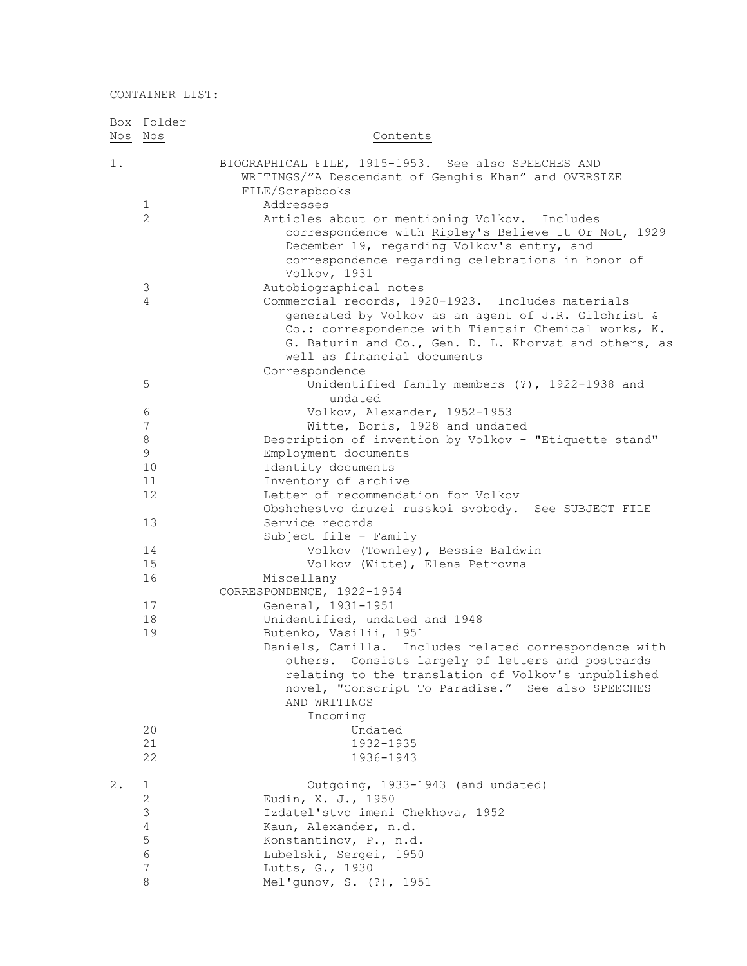|         | Box Folder     |                                                        |
|---------|----------------|--------------------------------------------------------|
| Nos Nos |                | Contents                                               |
|         |                |                                                        |
| $1$ .   |                | BIOGRAPHICAL FILE, 1915-1953. See also SPEECHES AND    |
|         |                | WRITINGS/"A Descendant of Genghis Khan" and OVERSIZE   |
|         |                | FILE/Scrapbooks                                        |
|         | 1              | Addresses                                              |
|         | $\overline{2}$ | Articles about or mentioning Volkov. Includes          |
|         |                | correspondence with Ripley's Believe It Or Not, 1929   |
|         |                | December 19, regarding Volkov's entry, and             |
|         |                | correspondence regarding celebrations in honor of      |
|         |                | Volkov, 1931                                           |
|         | 3              | Autobiographical notes                                 |
|         | 4              | Commercial records, 1920-1923. Includes materials      |
|         |                | generated by Volkov as an agent of J.R. Gilchrist &    |
|         |                | Co.: correspondence with Tientsin Chemical works, K.   |
|         |                | G. Baturin and Co., Gen. D. L. Khorvat and others, as  |
|         |                | well as financial documents                            |
|         |                | Correspondence                                         |
|         | 5              | Unidentified family members (?), 1922-1938 and         |
|         |                | undated                                                |
|         | 6              | Volkov, Alexander, 1952-1953                           |
|         | 7              | Witte, Boris, 1928 and undated                         |
|         | 8              | Description of invention by Volkov - "Etiquette stand" |
|         | 9              | Employment documents                                   |
|         | 10             | Identity documents                                     |
|         | 11             | Inventory of archive                                   |
|         | 12             | Letter of recommendation for Volkov                    |
|         |                | Obshchestvo druzei russkoi svobody. See SUBJECT FILE   |
|         | 13             | Service records                                        |
|         |                | Subject file - Family                                  |
|         | 14             | Volkov (Townley), Bessie Baldwin                       |
|         | 15             | Volkov (Witte), Elena Petrovna                         |
|         | 16             | Miscellany                                             |
|         |                | CORRESPONDENCE, 1922-1954                              |
|         | 17             | General, 1931-1951                                     |
|         | 18             | Unidentified, undated and 1948                         |
|         | 19             | Butenko, Vasilii, 1951                                 |
|         |                | Daniels, Camilla. Includes related correspondence with |
|         |                | others. Consists largely of letters and postcards      |
|         |                | relating to the translation of Volkov's unpublished    |
|         |                | novel, "Conscript To Paradise." See also SPEECHES      |
|         |                | AND WRITINGS                                           |
|         |                | Incoming                                               |
|         | 20             | Undated                                                |
|         | 21             | 1932-1935                                              |
|         | 22             | 1936-1943                                              |
|         |                |                                                        |
| 2.      | 1              | Outgoing, 1933-1943 (and undated)                      |
|         | 2              | Eudin, X. J., 1950                                     |
|         | 3              | Izdatel'stvo imeni Chekhova, 1952                      |
|         | $\overline{4}$ | Kaun, Alexander, n.d.                                  |
|         | 5              | Konstantinov, P., n.d.                                 |
|         | 6              | Lubelski, Sergei, 1950                                 |
|         | 7              | Lutts, G., 1930                                        |
|         | 8              | Mel'gunov, S. (?), 1951                                |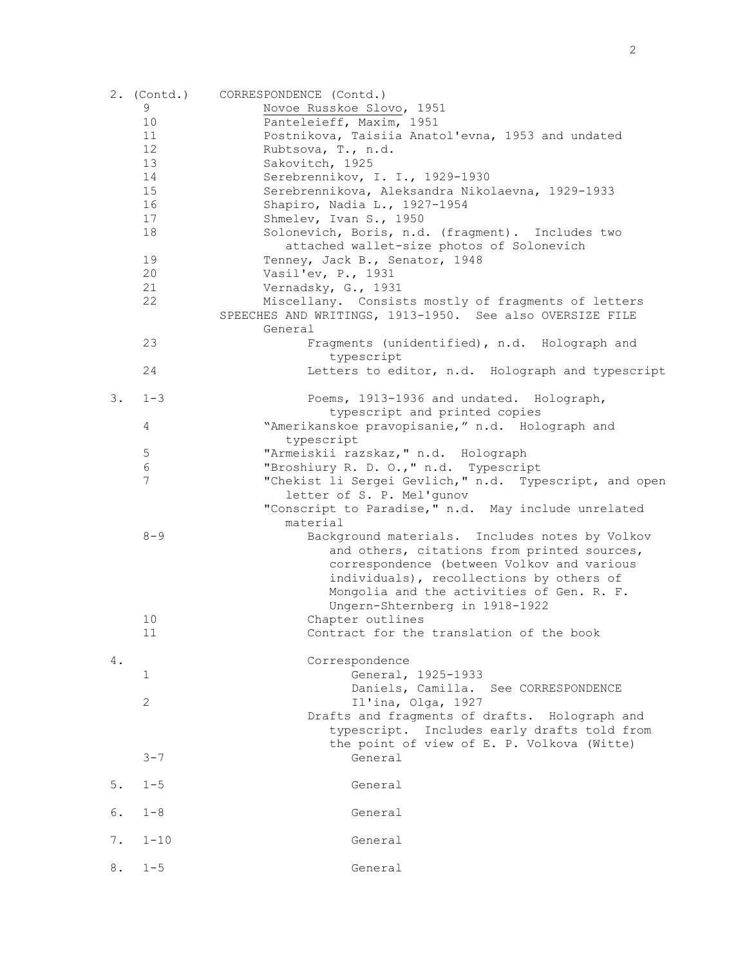|    | 2. (Contd.)     | CORRESPONDENCE (Contd.)                                                                                                                                                                                                              |
|----|-----------------|--------------------------------------------------------------------------------------------------------------------------------------------------------------------------------------------------------------------------------------|
|    | 9               | Novoe Russkoe Slovo, 1951                                                                                                                                                                                                            |
|    | 10              | Panteleieff, Maxim, 1951                                                                                                                                                                                                             |
|    | 11              | Postnikova, Taisiia Anatol'evna, 1953 and undated                                                                                                                                                                                    |
|    | 12              | Rubtsova, T., n.d.                                                                                                                                                                                                                   |
|    | 13              | Sakovitch, 1925                                                                                                                                                                                                                      |
|    | 14              | Serebrennikov, I. I., 1929-1930                                                                                                                                                                                                      |
|    | 15              | Serebrennikova, Aleksandra Nikolaevna, 1929-1933                                                                                                                                                                                     |
|    | 16              | Shapiro, Nadia L., 1927-1954                                                                                                                                                                                                         |
|    | 17              | Shmelev, Ivan S., 1950                                                                                                                                                                                                               |
|    | 18              | Solonevich, Boris, n.d. (fragment). Includes two<br>attached wallet-size photos of Solonevich                                                                                                                                        |
|    | 19              | Tenney, Jack B., Senator, 1948                                                                                                                                                                                                       |
|    | 20              | Vasil'ev, P., 1931                                                                                                                                                                                                                   |
|    | 21              | Vernadsky, G., 1931                                                                                                                                                                                                                  |
|    | 22              | Miscellany. Consists mostly of fragments of letters<br>SPEECHES AND WRITINGS, 1913-1950. See also OVERSIZE FILE                                                                                                                      |
|    |                 | General                                                                                                                                                                                                                              |
|    | 23              | Fragments (unidentified), n.d. Holograph and<br>typescript                                                                                                                                                                           |
|    | 24              | Letters to editor, n.d. Holograph and typescript                                                                                                                                                                                     |
| 3. | $1 - 3$         | Poems, 1913-1936 and undated. Holograph,                                                                                                                                                                                             |
|    |                 | typescript and printed copies                                                                                                                                                                                                        |
|    | 4               | "Amerikanskoe pravopisanie," n.d. Holograph and                                                                                                                                                                                      |
|    |                 | typescript                                                                                                                                                                                                                           |
|    | $\mathsf S$     | "Armeiskii razskaz, " n.d. Holograph                                                                                                                                                                                                 |
|    | $\epsilon$      | "Broshiury R. D. O.," n.d. Typescript                                                                                                                                                                                                |
|    | $7\phantom{.0}$ | "Chekist li Sergei Gevlich," n.d. Typescript, and open                                                                                                                                                                               |
|    |                 | letter of S. P. Mel'gunov                                                                                                                                                                                                            |
|    |                 | "Conscript to Paradise," n.d. May include unrelated<br>material                                                                                                                                                                      |
|    | $8 - 9$         | Background materials. Includes notes by Volkov<br>and others, citations from printed sources,<br>correspondence (between Volkov and various<br>individuals), recollections by others of<br>Mongolia and the activities of Gen. R. F. |
|    |                 | Ungern-Shternberg in 1918-1922                                                                                                                                                                                                       |
|    | 10              | Chapter outlines                                                                                                                                                                                                                     |
|    | 11              | Contract for the translation of the book                                                                                                                                                                                             |
| 4. |                 | Correspondence                                                                                                                                                                                                                       |
|    | $\mathbf{1}$    | General, 1925-1933                                                                                                                                                                                                                   |
|    |                 | Daniels, Camilla. See CORRESPONDENCE                                                                                                                                                                                                 |
|    | $\mathbf{2}$    | Il'ina, Olga, 1927                                                                                                                                                                                                                   |
|    |                 | Drafts and fragments of drafts. Holograph and                                                                                                                                                                                        |
|    |                 | typescript. Includes early drafts told from                                                                                                                                                                                          |
|    |                 | the point of view of E. P. Volkova (Witte)                                                                                                                                                                                           |
|    | $3 - 7$         | General                                                                                                                                                                                                                              |
| 5. | $1 - 5$         | General                                                                                                                                                                                                                              |
| 6. | $1 - 8$         | General                                                                                                                                                                                                                              |
| 7. | $1 - 10$        | General                                                                                                                                                                                                                              |
|    |                 |                                                                                                                                                                                                                                      |
| 8. | $1 - 5$         | General                                                                                                                                                                                                                              |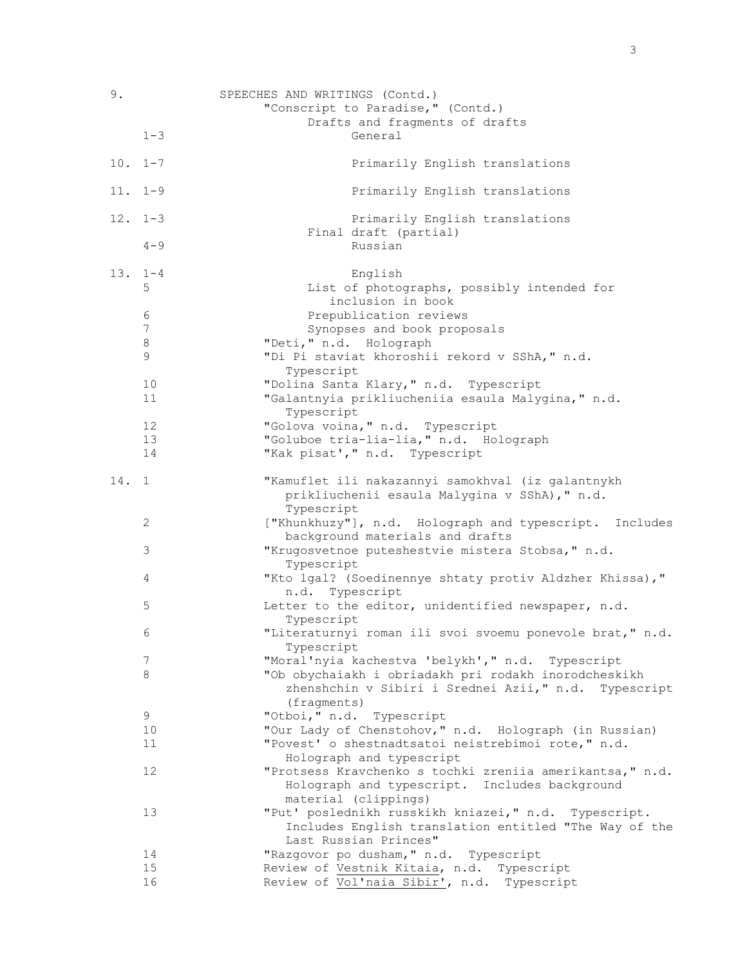| 9.          |             | SPEECHES AND WRITINGS (Contd.)                                                                                                         |
|-------------|-------------|----------------------------------------------------------------------------------------------------------------------------------------|
|             |             | "Conscript to Paradise," (Contd.)                                                                                                      |
|             |             | Drafts and fragments of drafts                                                                                                         |
|             | $1 - 3$     | General                                                                                                                                |
| $10. 1 - 7$ |             | Primarily English translations                                                                                                         |
| $11. 1-9$   |             | Primarily English translations                                                                                                         |
| $12. 1 - 3$ |             | Primarily English translations                                                                                                         |
|             | $4 - 9$     | Final draft (partial)<br>Russian                                                                                                       |
| $13. 1-4$   |             | English                                                                                                                                |
|             | 5           | List of photographs, possibly intended for<br>inclusion in book                                                                        |
|             | 6           | Prepublication reviews                                                                                                                 |
|             | 7           | Synopses and book proposals                                                                                                            |
|             | 8           | "Deti, " n.d. Holograph                                                                                                                |
|             | $\mathsf 9$ | "Di Pi staviat khoroshii rekord v SShA, " n.d.                                                                                         |
|             |             | Typescript                                                                                                                             |
|             | 10          | "Dolina Santa Klary, " n.d. Typescript                                                                                                 |
|             | 11          | "Galantnyia prikliucheniia esaula Malygina, " n.d.<br>Typescript                                                                       |
|             | 12          | "Golova voina, " n.d. Typescript                                                                                                       |
|             | 13          | "Goluboe tria-lia-lia," n.d. Holograph                                                                                                 |
|             | 14          | "Kak pisat'," n.d. Typescript                                                                                                          |
| 14. 1       |             | "Kamuflet ili nakazannyi samokhval (iz galantnykh<br>prikliuchenii esaula Malygina v SShA), " n.d.<br>Typescript                       |
|             | 2           | ["Khunkhuzy"], n.d. Holograph and typescript. Includes                                                                                 |
|             | 3           | background materials and drafts<br>"Krugosvetnoe puteshestvie mistera Stobsa, " n.d.                                                   |
|             | 4           | Typescript<br>"Kto lgal? (Soedinennye shtaty protiv Aldzher Khissa),"                                                                  |
|             |             | n.d. Typescript                                                                                                                        |
|             | 5           | Letter to the editor, unidentified newspaper, n.d.<br>Typescript                                                                       |
|             | 6           | "Literaturnyi roman ili svoi svoemu ponevole brat," n.d.<br>Typescript                                                                 |
|             | 7           | "Moral'nyia kachestva 'belykh'," n.d. Typescript                                                                                       |
|             | 8           | "Ob obychaiakh i obriadakh pri rodakh inorodcheskikh<br>zhenshchin v Sibiri i Srednei Azii," n.d. Typescript<br>(fragments)            |
|             | 9           | "Otboi, " n.d. Typescript                                                                                                              |
|             | 10          | "Our Lady of Chenstohov," n.d. Holograph (in Russian)                                                                                  |
|             | 11          | "Povest' o shestnadtsatoi neistrebimoi rote," n.d.<br>Holograph and typescript                                                         |
|             | 12          | "Protsess Kravchenko s tochki zreniia amerikantsa, " n.d.<br>Holograph and typescript. Includes background<br>material (clippings)     |
|             | 13          | "Put' poslednikh russkikh kniazei," n.d. Typescript.<br>Includes English translation entitled "The Way of the<br>Last Russian Princes" |
|             | 14          | "Razgovor po dusham, " n.d. Typescript                                                                                                 |
|             | 15          | Review of Vestnik Kitaia, n.d. Typescript                                                                                              |
|             | 16          | Review of Vol'naia Sibir', n.d. Typescript                                                                                             |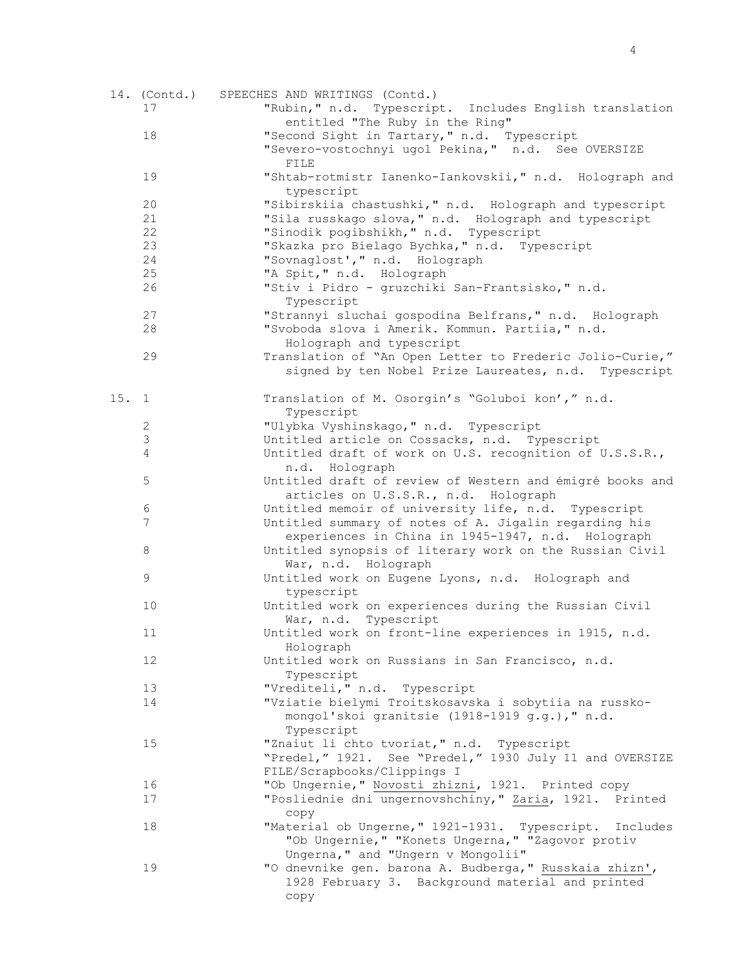|      |                | 14. (Contd.) SPEECHES AND WRITINGS (Contd.)              |
|------|----------------|----------------------------------------------------------|
|      | 17             | "Rubin," n.d. Typescript. Includes English translation   |
|      |                | entitled "The Ruby in the Ring"                          |
|      | 18             | "Second Sight in Tartary," n.d. Typescript               |
|      |                | "Severo-vostochnyi ugol Pekina," n.d. See OVERSIZE       |
|      |                | FILE                                                     |
|      | 19             | "Shtab-rotmistr Ianenko-Iankovskii," n.d. Holograph and  |
|      |                | typescript                                               |
|      | 20             | "Sibirskiia chastushki," n.d. Holograph and typescript   |
|      | 21             | "Sila russkago slova, " n.d. Holograph and typescript    |
|      | 22             | "Sinodik pogibshikh, " n.d. Typescript                   |
|      | 23             | "Skazka pro Bielago Bychka, " n.d. Typescript            |
|      | 24             |                                                          |
|      |                | "Sovnaglost', " n.d. Holograph                           |
|      | 25             | "A Spit," n.d. Holograph                                 |
|      | 26             | "Stiv i Pidro - gruzchiki San-Frantsisko," n.d.          |
|      |                | Typescript                                               |
|      | 27             | "Strannyi sluchai gospodina Belfrans," n.d. Holograph    |
|      | 28             | "Svoboda slova i Amerik. Kommun. Partiia," n.d.          |
|      |                | Holograph and typescript                                 |
|      | 29             | Translation of "An Open Letter to Frederic Jolio-Curie," |
|      |                | signed by ten Nobel Prize Laureates, n.d. Typescript     |
|      |                |                                                          |
| 15.1 |                | Translation of M. Osorgin's "Goluboi kon'," n.d.         |
|      |                | Typescript                                               |
|      | $\mathbf{2}$   | "Ulybka Vyshinskago, " n.d. Typescript                   |
|      | $\mathfrak{Z}$ | Untitled article on Cossacks, n.d. Typescript            |
|      | $\overline{4}$ | Untitled draft of work on U.S. recognition of U.S.S.R.,  |
|      |                | n.d. Holograph                                           |
|      | $\mathsf S$    | Untitled draft of review of Western and émigré books and |
|      |                | articles on U.S.S.R., n.d. Holograph                     |
|      | 6              | Untitled memoir of university life, n.d. Typescript      |
|      | 7              | Untitled summary of notes of A. Jigalin regarding his    |
|      |                | experiences in China in 1945-1947, n.d. Holograph        |
|      | 8              | Untitled synopsis of literary work on the Russian Civil  |
|      |                | War, n.d. Holograph                                      |
|      | 9              | Untitled work on Eugene Lyons, n.d. Holograph and        |
|      |                | typescript                                               |
|      | 10             | Untitled work on experiences during the Russian Civil    |
|      |                | War, n.d. Typescript                                     |
|      | 11             | Untitled work on front-line experiences in 1915, n.d.    |
|      |                | Holograph                                                |
|      | 12             | Untitled work on Russians in San Francisco, n.d.         |
|      |                | Typescript                                               |
|      | 13             | "Vrediteli, " n.d. Typescript                            |
|      | 14             | "Vziatie bielymi Troitskosavska i sobytiia na russko-    |
|      |                | mongol'skoi granitsie (1918-1919 g.g.)," n.d.            |
|      |                | Typescript                                               |
|      | 15             | "Znaiut li chto tvoriat," n.d. Typescript                |
|      |                |                                                          |
|      |                | "Predel," 1921. See "Predel," 1930 July 11 and OVERSIZE  |
|      |                | FILE/Scrapbooks/Clippings I                              |
|      | 16             | "Ob Ungernie," Novosti zhizni, 1921. Printed copy        |
|      | 17             | "Posliednie dni ungernovshchiny," Zaria, 1921. Printed   |
|      |                | сору                                                     |
|      | 18             | "Material ob Ungerne, " 1921-1931. Typescript. Includes  |
|      |                | "Ob Ungernie, " "Konets Ungerna, " "Zagovor protiv       |
|      |                | Ungerna, " and "Ungern v Mongolii"                       |
|      | 19             | "O dnevnike gen. barona A. Budberga, " Russkaia zhizn',  |
|      |                | 1928 February 3. Background material and printed         |
|      |                | copy                                                     |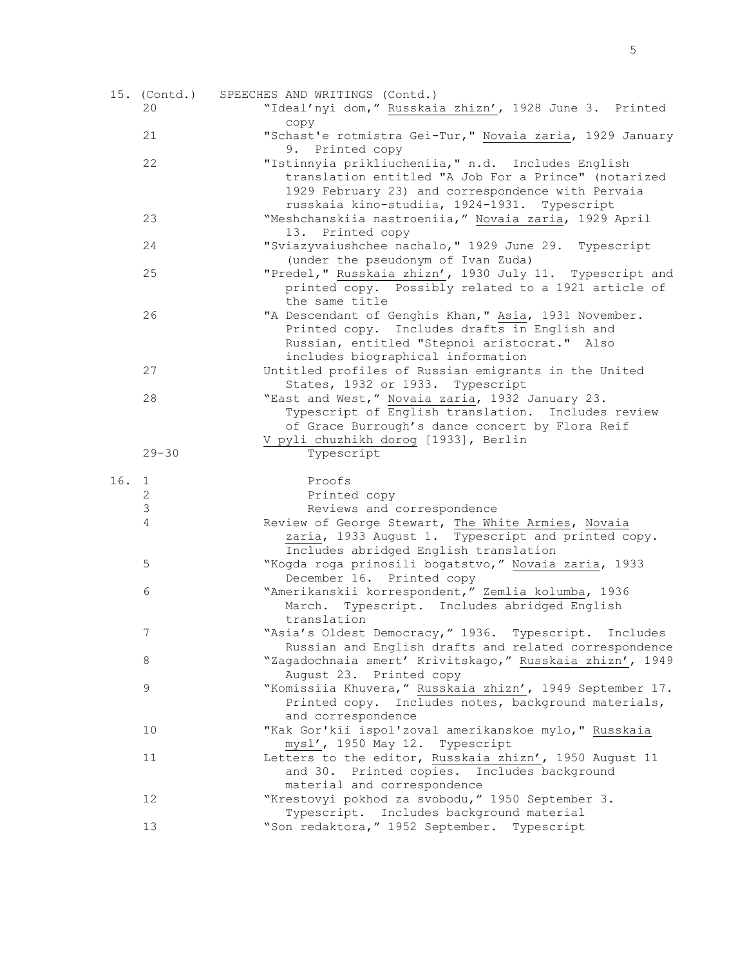|      | 15. (Contd.)   | SPEECHES AND WRITINGS (Contd.)                                               |
|------|----------------|------------------------------------------------------------------------------|
|      | 20             | "Ideal'nyi dom," Russkaia zhizn', 1928 June 3. Printed                       |
|      |                | copy                                                                         |
|      | 21             | "Schast'e rotmistra Gei-Tur," Novaia zaria, 1929 January                     |
|      |                | 9. Printed copy                                                              |
|      | 22             | "Istinnyia prikliucheniia, " n.d. Includes English                           |
|      |                | translation entitled "A Job For a Prince" (notarized                         |
|      |                | 1929 February 23) and correspondence with Pervaia                            |
|      |                | russkaia kino-studiia, 1924-1931. Typescript                                 |
|      | 23             | "Meshchanskiia nastroeniia," Novaia zaria, 1929 April                        |
|      |                | 13. Printed copy                                                             |
|      | 24             | "Sviazyvaiushchee nachalo, " 1929 June 29. Typescript                        |
|      |                | (under the pseudonym of Ivan Zuda)                                           |
|      | 25             | "Predel," Russkaia zhizn', 1930 July 11. Typescript and                      |
|      |                |                                                                              |
|      |                | printed copy. Possibly related to a 1921 article of                          |
|      |                | the same title                                                               |
|      | 26             | "A Descendant of Genghis Khan," Asia, 1931 November.                         |
|      |                | Printed copy. Includes drafts in English and                                 |
|      |                | Russian, entitled "Stepnoi aristocrat." Also                                 |
|      |                | includes biographical information                                            |
|      | 27             | Untitled profiles of Russian emigrants in the United                         |
|      |                | States, 1932 or 1933. Typescript                                             |
|      | 28             | "East and West," Novaia zaria, 1932 January 23.                              |
|      |                | Typescript of English translation. Includes review                           |
|      |                | of Grace Burrough's dance concert by Flora Reif                              |
|      |                | V pyli chuzhikh dorog [1933], Berlin                                         |
|      | $29 - 30$      | Typescript                                                                   |
|      |                |                                                                              |
|      |                |                                                                              |
| 16.1 |                | Proofs                                                                       |
|      | $\sqrt{2}$     | Printed copy                                                                 |
|      | $\mathfrak{Z}$ | Reviews and correspondence                                                   |
|      | $\overline{4}$ | Review of George Stewart, The White Armies, Novaia                           |
|      |                | zaria, 1933 August 1. Typescript and printed copy.                           |
|      |                | Includes abridged English translation                                        |
|      | 5              | "Kogda roga prinosili bogatstvo," Novaia zaria, 1933                         |
|      |                | December 16. Printed copy                                                    |
|      | 6              | "Amerikanskii korrespondent," Zemlia kolumba, 1936                           |
|      |                | March. Typescript. Includes abridged English                                 |
|      |                | translation                                                                  |
|      | 7              | "Asia's Oldest Democracy," 1936. Typescript. Includes                        |
|      |                | Russian and English drafts and related correspondence                        |
|      | 8              | "Zagadochnaia smert' Krivitskago," Russkaia zhizn', 1949                     |
|      |                | August 23. Printed copy                                                      |
|      | 9              | "Komissiia Khuvera," Russkaia zhizn', 1949 September 17.                     |
|      |                | Printed copy. Includes notes, background materials,                          |
|      |                | and correspondence                                                           |
|      | 10             | "Kak Gor'kii ispol'zoval amerikanskoe mylo," Russkaia                        |
|      |                | mysl', 1950 May 12. Typescript                                               |
|      | 11             | Letters to the editor, Russkaia zhizn', 1950 August 11                       |
|      |                | and 30. Printed copies. Includes background                                  |
|      |                | material and correspondence                                                  |
|      | 12             | "Krestovyi pokhod za svobodu, " 1950 September 3.                            |
|      |                | Typescript. Includes background material<br>"Son redaktora," 1952 September. |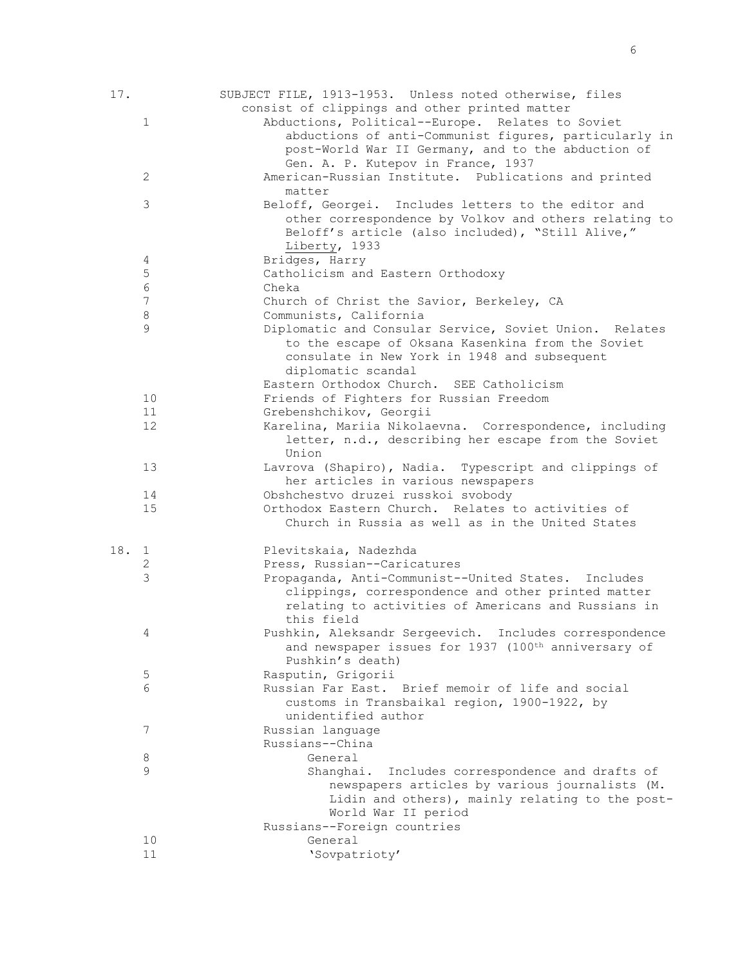| 17.   |              | SUBJECT FILE, 1913-1953. Unless noted otherwise, files<br>consist of clippings and other printed matter                                                                                                       |
|-------|--------------|---------------------------------------------------------------------------------------------------------------------------------------------------------------------------------------------------------------|
|       | $\mathbf{1}$ | Abductions, Political--Europe. Relates to Soviet<br>abductions of anti-Communist figures, particularly in<br>post-World War II Germany, and to the abduction of<br>Gen. A. P. Kutepov in France, 1937         |
|       | 2            | American-Russian Institute. Publications and printed<br>matter                                                                                                                                                |
|       | 3            | Beloff, Georgei. Includes letters to the editor and<br>other correspondence by Volkov and others relating to<br>Beloff's article (also included), "Still Alive,"<br>Liberty, 1933                             |
|       | 4            | Bridges, Harry                                                                                                                                                                                                |
|       | $\mathsf S$  | Catholicism and Eastern Orthodoxy                                                                                                                                                                             |
|       | $\epsilon$   | Cheka                                                                                                                                                                                                         |
|       | 7            | Church of Christ the Savior, Berkeley, CA                                                                                                                                                                     |
|       | $\,8\,$<br>9 | Communists, California                                                                                                                                                                                        |
|       |              | Diplomatic and Consular Service, Soviet Union. Relates<br>to the escape of Oksana Kasenkina from the Soviet<br>consulate in New York in 1948 and subsequent<br>diplomatic scandal                             |
|       |              | Eastern Orthodox Church. SEE Catholicism                                                                                                                                                                      |
|       | 10<br>11     | Friends of Fighters for Russian Freedom<br>Grebenshchikov, Georgii                                                                                                                                            |
|       | 12           | Karelina, Mariia Nikolaevna. Correspondence, including<br>letter, n.d., describing her escape from the Soviet<br>Union                                                                                        |
|       | 13           | Lavrova (Shapiro), Nadia. Typescript and clippings of<br>her articles in various newspapers                                                                                                                   |
|       | 14           | Obshchestvo druzei russkoi svobody                                                                                                                                                                            |
|       | 15           | Orthodox Eastern Church. Relates to activities of<br>Church in Russia as well as in the United States                                                                                                         |
| 18. 1 |              | Plevitskaia, Nadezhda                                                                                                                                                                                         |
|       | 2            | Press, Russian--Caricatures                                                                                                                                                                                   |
|       | 3            | Propaganda, Anti-Communist--United States. Includes<br>clippings, correspondence and other printed matter<br>relating to activities of Americans and Russians in<br>this field                                |
|       | 4            | Pushkin, Aleksandr Sergeevich. Includes correspondence                                                                                                                                                        |
|       |              | and newspaper issues for 1937 (100 <sup>th</sup> anniversary of<br>Pushkin's death)                                                                                                                           |
|       | $\mathsf S$  | Rasputin, Grigorii                                                                                                                                                                                            |
|       | 6            | Russian Far East. Brief memoir of life and social<br>customs in Transbaikal region, 1900-1922, by<br>unidentified author                                                                                      |
|       | 7            | Russian language<br>Russians--China                                                                                                                                                                           |
|       | 8            | General                                                                                                                                                                                                       |
|       | 9            | Shanghai.<br>Includes correspondence and drafts of<br>newspapers articles by various journalists (M.<br>Lidin and others), mainly relating to the post-<br>World War II period<br>Russians--Foreign countries |
|       | 10           | General                                                                                                                                                                                                       |
|       | 11           | 'Sovpatrioty'                                                                                                                                                                                                 |